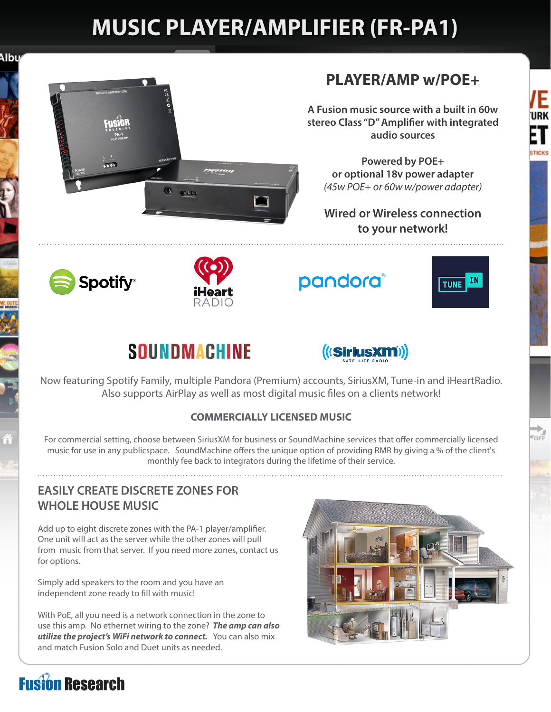# **MUSIC PLAYER/AMPLIFIER (FR-PA1)**

Albu



### **PLAYER/AMP w/POE+**

**A Fusion music source with a built in 60w stereo Class "D" Amplifier with integrated audio sources**

**Powered by POE+ or optional 18v power adapter**  *(45w POE+ or 60w w/power adapter)*

**Wired or Wireless connection to your network!**





pandora®



Έ URK

1 **TICKS** 

 $\overrightarrow{C}$ 

### **SOUNDMACHINE**



Now featuring Spotify Family, multiple Pandora (Premium) accounts, SiriusXM, Tune-in and iHeartRadio. Also supports AirPlay as well as most digital music files on a clients network!

### **COMMERCIALLY LICENSED MUSIC**

For commercial setting, choose between SiriusXM for business or SoundMachine services that offer commercially licensed music for use in any publicspace. SoundMachine offers the unique option of providing RMR by giving a % of the client's monthly fee back to integrators during the lifetime of their service.

### **EASILY CREATE DISCRETE ZONES FOR WHOLE HOUSE MUSIC**

Add up to eight discrete zones with the PA-1 player/amplifier. One unit will act as the server while the other zones will pull from music from that server. If you need more zones, contact us for options.

Simply add speakers to the room and you have an independent zone ready to fill with music!

With PoE, all you need is a network connection in the zone to use this amp. No ethernet wiring to the zone? *The amp can also utilize the project's WiFi network to connect.* You can also mix and match Fusion Solo and Duet units as needed.



## **Fusion Research**